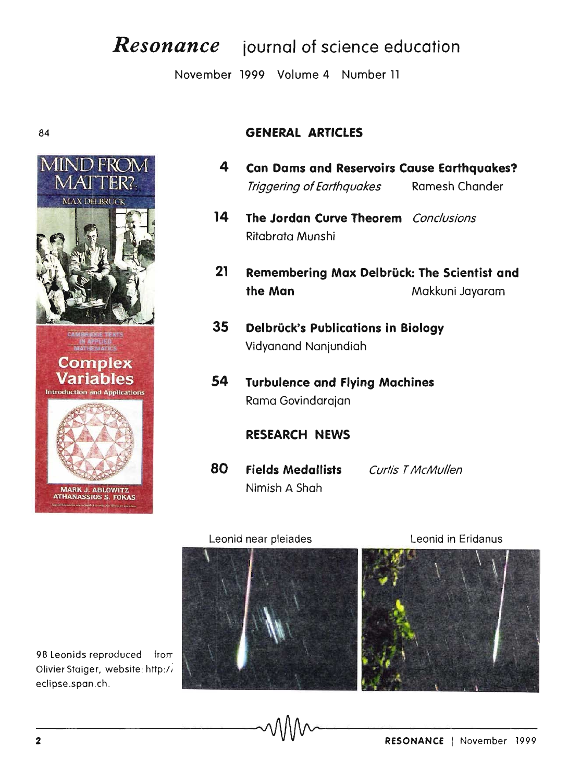# Resonance journal of science education

November 1999 Volume 4 Number 11

#### 84



# **GENERAL ARTICLES**

- $\blacktriangle$ **Can Dams and Reservoirs Cause Earthquakes?** Triggering of Earthquakes Ramesh Chander
- 14 The Jordan Curve Theorem Conclusions Ritabrata Munshi
- $21$ Remembering Max Delbrück: The Scientist and the Man Makkuni Jayaram
- 35 Delbrück's Publications in Biology Vidyanand Nanjundiah
- 54 **Turbulence and Flying Machines** Rama Govindarajan

## **RESEARCH NEWS**

80 **Fields Medallists Curtis T McMullen** Nimish A Shah

#### Leonid near pleiades

Leonid in Eridanus



98 Leonids reproduced from Olivier Staiger, website: http:// eclipse.span.ch.